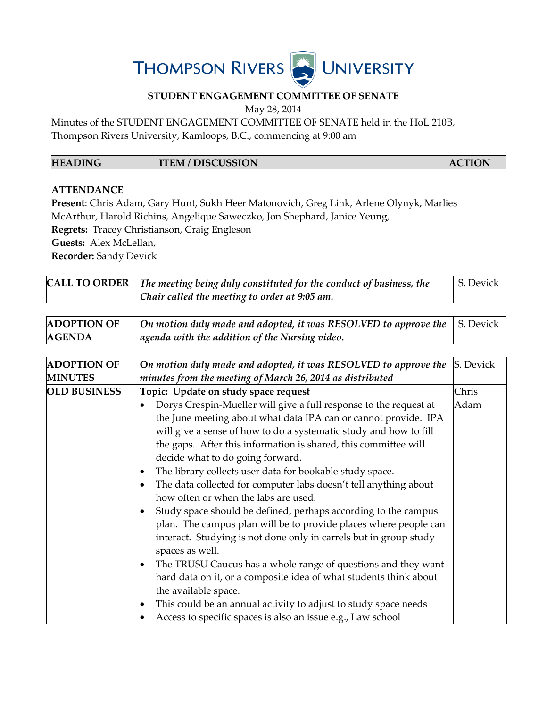

## **STUDENT ENGAGEMENT COMMITTEE OF SENATE**

May 28, 2014

Minutes of the STUDENT ENGAGEMENT COMMITTEE OF SENATE held in the HoL 210B, Thompson Rivers University, Kamloops, B.C., commencing at 9:00 am

| <b>HEADING</b> | <b>ITEM / DISCUSSION</b> | <b>ACTION</b> |
|----------------|--------------------------|---------------|
|                |                          |               |

## **ATTENDANCE**

**Present**: Chris Adam, Gary Hunt, Sukh Heer Matonovich, Greg Link, Arlene Olynyk, Marlies McArthur, Harold Richins, Angelique Saweczko, Jon Shephard, Janice Yeung, **Regrets:** Tracey Christianson, Craig Engleson

**Guests:** Alex McLellan,

**Recorder:** Sandy Devick

| CALL TO ORDER The meeting being duly constituted for the conduct of business, the | S. Devick |
|-----------------------------------------------------------------------------------|-----------|
| Chair called the meeting to order at 9:05 am.                                     |           |

| <b>ADOPTION OF</b> | On motion duly made and adopted, it was RESOLVED to approve the $\vert$ S. Devick |  |
|--------------------|-----------------------------------------------------------------------------------|--|
| <b>AGENDA</b>      | agenda with the addition of the Nursing video.                                    |  |

| <b>ADOPTION OF</b>  | On motion duly made and adopted, it was RESOLVED to approve the   | S. Devick |
|---------------------|-------------------------------------------------------------------|-----------|
|                     |                                                                   |           |
| <b>MINUTES</b>      | minutes from the meeting of March 26, 2014 as distributed         |           |
| <b>OLD BUSINESS</b> | Topic: Update on study space request                              | Chris     |
|                     | Dorys Crespin-Mueller will give a full response to the request at | Adam      |
|                     | the June meeting about what data IPA can or cannot provide. IPA   |           |
|                     | will give a sense of how to do a systematic study and how to fill |           |
|                     | the gaps. After this information is shared, this committee will   |           |
|                     | decide what to do going forward.                                  |           |
|                     | The library collects user data for bookable study space.          |           |
|                     | The data collected for computer labs doesn't tell anything about  |           |
|                     | how often or when the labs are used.                              |           |
|                     | Study space should be defined, perhaps according to the campus    |           |
|                     | plan. The campus plan will be to provide places where people can  |           |
|                     | interact. Studying is not done only in carrels but in group study |           |
|                     | spaces as well.                                                   |           |
|                     | The TRUSU Caucus has a whole range of questions and they want     |           |
|                     | hard data on it, or a composite idea of what students think about |           |
|                     | the available space.                                              |           |
|                     | This could be an annual activity to adjust to study space needs   |           |
|                     | Access to specific spaces is also an issue e.g., Law school       |           |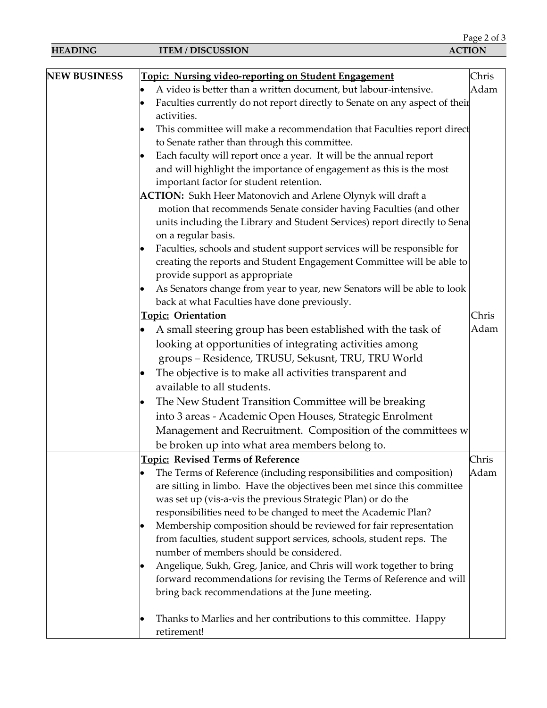| <b>HEADING</b>      | <b>ITEM / DISCUSSION</b><br><b>ACTION</b>                                   |       |
|---------------------|-----------------------------------------------------------------------------|-------|
|                     |                                                                             |       |
| <b>NEW BUSINESS</b> | Topic: Nursing video-reporting on Student Engagement                        | Chris |
|                     | A video is better than a written document, but labour-intensive.            | Adam  |
|                     | Faculties currently do not report directly to Senate on any aspect of their |       |
|                     | activities.                                                                 |       |
|                     | This committee will make a recommendation that Faculties report direct      |       |
|                     | to Senate rather than through this committee.                               |       |
|                     | Each faculty will report once a year. It will be the annual report          |       |
|                     | and will highlight the importance of engagement as this is the most         |       |
|                     | important factor for student retention.                                     |       |
|                     | <b>ACTION:</b> Sukh Heer Matonovich and Arlene Olynyk will draft a          |       |
|                     | motion that recommends Senate consider having Faculties (and other          |       |
|                     | units including the Library and Student Services) report directly to Sena   |       |
|                     | on a regular basis.                                                         |       |
|                     | Faculties, schools and student support services will be responsible for     |       |
|                     | creating the reports and Student Engagement Committee will be able to       |       |
|                     | provide support as appropriate                                              |       |
|                     | As Senators change from year to year, new Senators will be able to look     |       |
|                     | back at what Faculties have done previously.                                |       |
|                     | Topic: Orientation                                                          | Chris |
|                     | A small steering group has been established with the task of                | Adam  |
|                     | looking at opportunities of integrating activities among                    |       |
|                     | groups - Residence, TRUSU, Sekusnt, TRU, TRU World                          |       |
|                     | The objective is to make all activities transparent and                     |       |
|                     | available to all students.                                                  |       |
|                     | The New Student Transition Committee will be breaking                       |       |
|                     | into 3 areas - Academic Open Houses, Strategic Enrolment                    |       |
|                     |                                                                             |       |
|                     | Management and Recruitment. Composition of the committees w                 |       |
|                     | be broken up into what area members belong to.                              |       |
|                     | Topic: Revised Terms of Reference                                           | Chris |
|                     | The Terms of Reference (including responsibilities and composition)         | Adam  |
|                     | are sitting in limbo. Have the objectives been met since this committee     |       |
|                     | was set up (vis-a-vis the previous Strategic Plan) or do the                |       |
|                     | responsibilities need to be changed to meet the Academic Plan?              |       |
|                     | Membership composition should be reviewed for fair representation           |       |
|                     | from faculties, student support services, schools, student reps. The        |       |
|                     | number of members should be considered.                                     |       |
|                     | Angelique, Sukh, Greg, Janice, and Chris will work together to bring        |       |
|                     | forward recommendations for revising the Terms of Reference and will        |       |
|                     | bring back recommendations at the June meeting.                             |       |
|                     |                                                                             |       |
|                     | Thanks to Marlies and her contributions to this committee. Happy            |       |
|                     | retirement!                                                                 |       |

Page 2 of 3